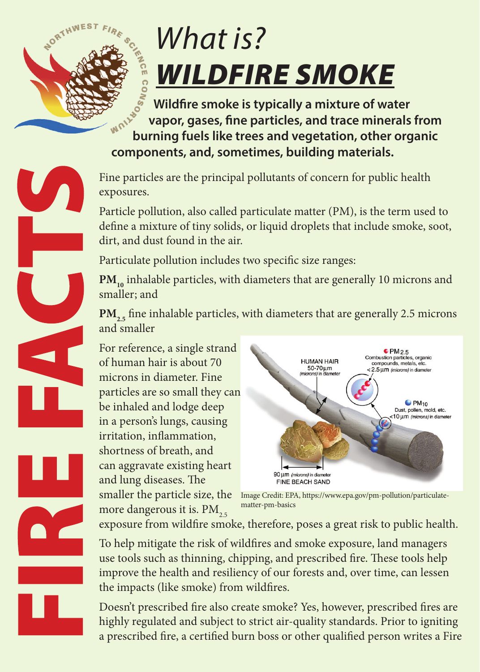

## *What is? WILDFIRE SMOKE*

 **Wildfire smoke is typically a mixture of water vapor, gases, fine particles, and trace minerals from burning fuels like trees and vegetation, other organic components, and, sometimes, building materials.** 

Fine particles are the principal pollutants of concern for public health exposures.

Particle pollution, also called particulate matter (PM), is the term used to define a mixture of tiny solids, or liquid droplets that include smoke, soot, dirt, and dust found in the air.

Particulate pollution includes two specific size ranges:

PM<sub>10</sub> inhalable particles, with diameters that are generally 10 microns and smaller; and

**PM<sub>2.5</sub>** fine inhalable particles, with diameters that are generally 2.5 microns and smaller

For reference, a single strand of human hair is about 70 microns in diameter. Fine particles are so small they can be inhaled and lodge deep in a person's lungs, causing irritation, inflammation, shortness of breath, and can aggravate existing heart and lung diseases. The smaller the particle size, the more dangerous it is.  $PM_{25}$ 



Image Credit: EPA, https://www.epa.gov/pm-pollution/particulatematter-pm-basics

exposure from wildfire smoke, therefore, poses a great risk to public health.

To help mitigate the risk of wildfires and smoke exposure, land managers use tools such as thinning, chipping, and prescribed fire. These tools help improve the health and resiliency of our forests and, over time, can lessen the impacts (like smoke) from wildfires.

Doesn't prescribed fire also create smoke? Yes, however, prescribed fires are highly regulated and subject to strict air-quality standards. Prior to igniting a prescribed fire, a certified burn boss or other qualified person writes a Fire